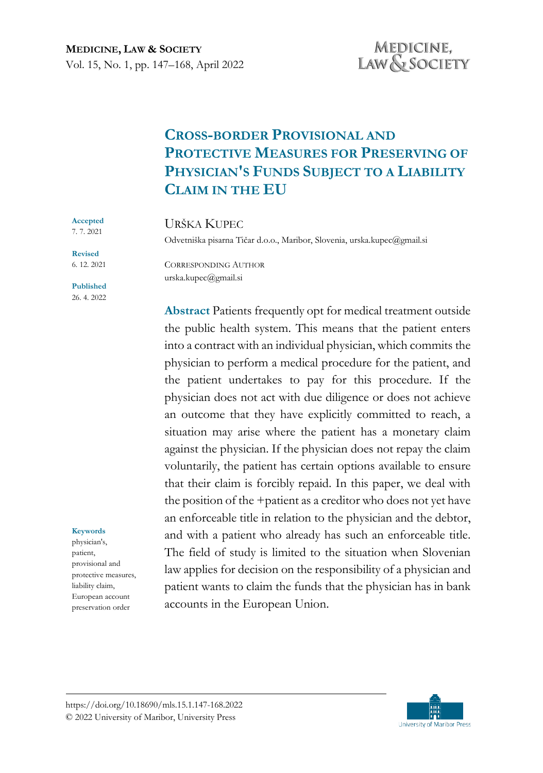# **CROSS-BORDER PROVISIONAL AND PROTECTIVE MEASURES FOR PRESERVING OF PHYSICIAN'S FUNDS SUBJECT TO A LIABILITY CLAIM IN THE EU**

### URŠKA KUPEC

Odvetniška pisarna Tičar d.o.o., Maribor, Slovenia, urska.kupec@gmail.si

7. 7. 2021 **Revised** 6. 12. 2021

**Accepted** 

**Published** 26. 4. 2022

#### **Keywords**

physician's, patient, provisional and protective measures, liability claim, European account preservation order

CORRESPONDING AUTHOR urska.kupec@gmail.si

**Abstract** Patients frequently opt for medical treatment outside the public health system. This means that the patient enters into a contract with an individual physician, which commits the physician to perform a medical procedure for the patient, and the patient undertakes to pay for this procedure. If the physician does not act with due diligence or does not achieve an outcome that they have explicitly committed to reach, a situation may arise where the patient has a monetary claim against the physician. If the physician does not repay the claim voluntarily, the patient has certain options available to ensure that their claim is forcibly repaid. In this paper, we deal with the position of the +patient as a creditor who does not yet have an enforceable title in relation to the physician and the debtor, and with a patient who already has such an enforceable title. The field of study is limited to the situation when Slovenian law applies for decision on the responsibility of a physician and patient wants to claim the funds that the physician has in bank accounts in the European Union.

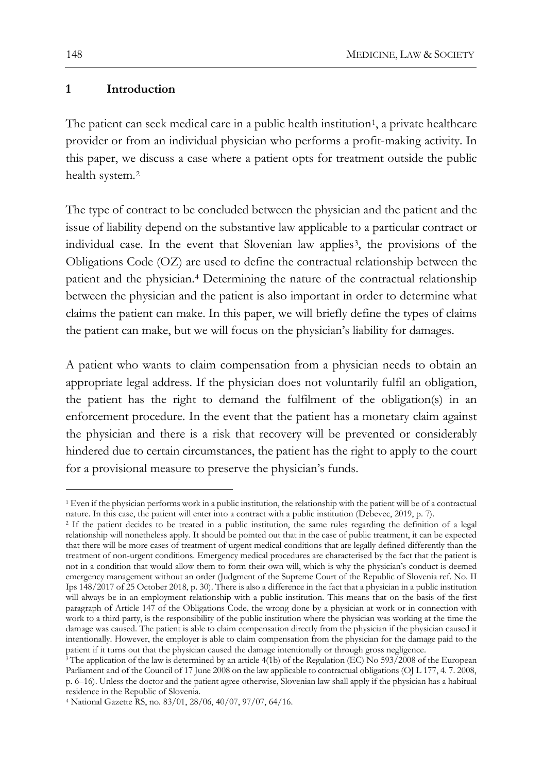#### **1 Introduction**

The patient can seek medical care in a public health institution<sup>[1](#page-1-0)</sup>, a private healthcare provider or from an individual physician who performs a profit-making activity. In this paper, we discuss a case where a patient opts for treatment outside the public health system.[2](#page-1-1)

The type of contract to be concluded between the physician and the patient and the issue of liability depend on the substantive law applicable to a particular contract or individual case. In the event that Slovenian law applies<sup>3</sup>, the provisions of the Obligations Code (OZ) are used to define the contractual relationship between the patient and the physician.[4](#page-1-3) Determining the nature of the contractual relationship between the physician and the patient is also important in order to determine what claims the patient can make. In this paper, we will briefly define the types of claims the patient can make, but we will focus on the physician's liability for damages.

A patient who wants to claim compensation from a physician needs to obtain an appropriate legal address. If the physician does not voluntarily fulfil an obligation, the patient has the right to demand the fulfilment of the obligation(s) in an enforcement procedure. In the event that the patient has a monetary claim against the physician and there is a risk that recovery will be prevented or considerably hindered due to certain circumstances, the patient has the right to apply to the court for a provisional measure to preserve the physician's funds.

<span id="page-1-0"></span><sup>1</sup> Even if the physician performs work in a public institution, the relationship with the patient will be of a contractual nature. In this case, the patient will enter into a contract with a public institution (Debevec, 2019, p. 7).

<span id="page-1-1"></span><sup>2</sup> If the patient decides to be treated in a public institution, the same rules regarding the definition of a legal relationship will nonetheless apply. It should be pointed out that in the case of public treatment, it can be expected that there will be more cases of treatment of urgent medical conditions that are legally defined differently than the treatment of non-urgent conditions. Emergency medical procedures are characterised by the fact that the patient is not in a condition that would allow them to form their own will, which is why the physician's conduct is deemed emergency management without an order (Judgment of the Supreme Court of the Republic of Slovenia ref. No. II Ips 148/2017 of 25 October 2018, p. 30). There is also a difference in the fact that a physician in a public institution will always be in an employment relationship with a public institution. This means that on the basis of the first paragraph of Article 147 of the Obligations Code, the wrong done by a physician at work or in connection with work to a third party, is the responsibility of the public institution where the physician was working at the time the damage was caused. The patient is able to claim compensation directly from the physician if the physician caused it intentionally. However, the employer is able to claim compensation from the physician for the damage paid to the patient if it turns out that the physician caused the damage intentionally or through gross negligence.

<span id="page-1-2"></span><sup>&</sup>lt;sup>3</sup> The application of the law is determined by an article 4(1b) of the Regulation (EC) No 593/2008 of the European Parliament and of the Council of 17 June 2008 on the law applicable to contractual obligations (OJ L 177, 4. 7. 2008, p. 6–16). Unless the doctor and the patient agree otherwise, Slovenian law shall apply if the physician has a habitual residence in the Republic of Slovenia.

<span id="page-1-3"></span><sup>4</sup> National Gazette RS, no. 83/01, 28/06, 40/07, 97/07, 64/16.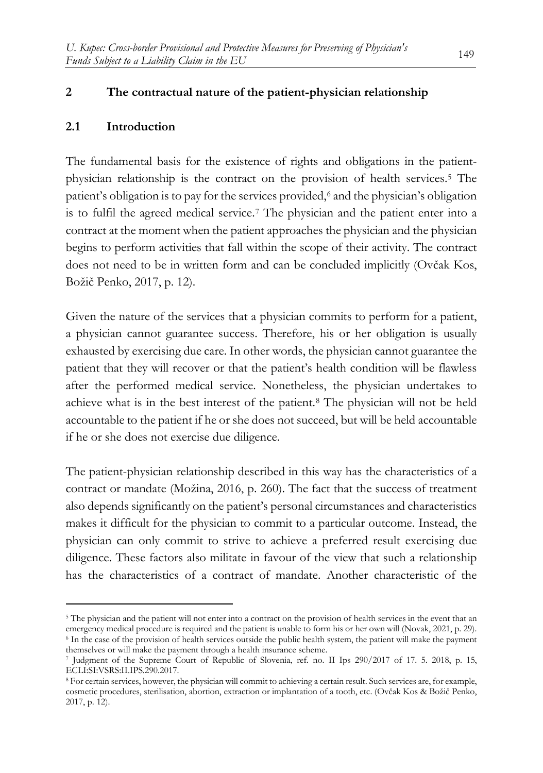## **2 The contractual nature of the patient-physician relationship**

## **2.1 Introduction**

The fundamental basis for the existence of rights and obligations in the patientphysician relationship is the contract on the provision of health services.[5](#page-2-0) The patient's obligation is to pay for the services provided,<sup>[6](#page-2-1)</sup> and the physician's obligation is to fulfil the agreed medical service.[7](#page-2-2) The physician and the patient enter into a contract at the moment when the patient approaches the physician and the physician begins to perform activities that fall within the scope of their activity. The contract does not need to be in written form and can be concluded implicitly (Ovčak Kos, Božič Penko, 2017, p. 12).

Given the nature of the services that a physician commits to perform for a patient, a physician cannot guarantee success. Therefore, his or her obligation is usually exhausted by exercising due care. In other words, the physician cannot guarantee the patient that they will recover or that the patient's health condition will be flawless after the performed medical service. Nonetheless, the physician undertakes to achieve what is in the best interest of the patient.[8](#page-2-3) The physician will not be held accountable to the patient if he or she does not succeed, but will be held accountable if he or she does not exercise due diligence.

The patient-physician relationship described in this way has the characteristics of a contract or mandate (Možina, 2016, p. 260). The fact that the success of treatment also depends significantly on the patient's personal circumstances and characteristics makes it difficult for the physician to commit to a particular outcome. Instead, the physician can only commit to strive to achieve a preferred result exercising due diligence. These factors also militate in favour of the view that such a relationship has the characteristics of a contract of mandate. Another characteristic of the

<span id="page-2-1"></span><span id="page-2-0"></span><sup>5</sup> The physician and the patient will not enter into a contract on the provision of health services in the event that an emergency medical procedure is required and the patient is unable to form his or her own will (Novak, 2021, p. 29). <sup>6</sup> In the case of the provision of health services outside the public health system, the patient will make the payment themselves or will make the payment through a health insurance scheme.

<span id="page-2-2"></span><sup>7</sup> Judgment of the Supreme Court of Republic of Slovenia, ref. no. II Ips 290/2017 of 17. 5. 2018, p. 15, ECLI:SI:VSRS:II.IPS.290.2017.

<span id="page-2-3"></span><sup>8</sup> For certain services, however, the physician will commit to achieving a certain result. Such services are, for example, cosmetic procedures, sterilisation, abortion, extraction or implantation of a tooth, etc. (Ovčak Kos & Božič Penko, 2017, p. 12).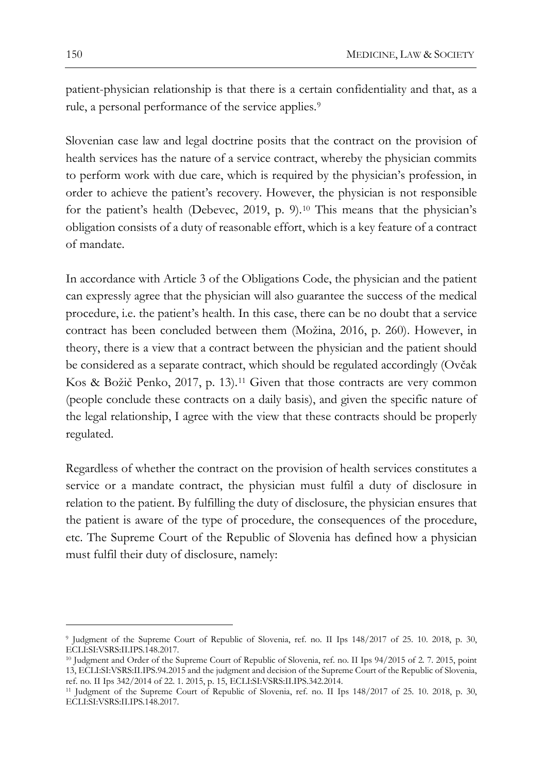patient-physician relationship is that there is a certain confidentiality and that, as a rule, a personal performance of the service applies.<sup>[9](#page-3-0)</sup>

Slovenian case law and legal doctrine posits that the contract on the provision of health services has the nature of a service contract, whereby the physician commits to perform work with due care, which is required by the physician's profession, in order to achieve the patient's recovery. However, the physician is not responsible for the patient's health (Debevec, 2019, p. 9).[10](#page-3-1) This means that the physician's obligation consists of a duty of reasonable effort, which is a key feature of a contract of mandate.

In accordance with Article 3 of the Obligations Code, the physician and the patient can expressly agree that the physician will also guarantee the success of the medical procedure, i.e. the patient's health. In this case, there can be no doubt that a service contract has been concluded between them (Možina, 2016, p. 260). However, in theory, there is a view that a contract between the physician and the patient should be considered as a separate contract, which should be regulated accordingly (Ovčak Kos & Božič Penko, 2017, p. 13).[11](#page-3-2) Given that those contracts are very common (people conclude these contracts on a daily basis), and given the specific nature of the legal relationship, I agree with the view that these contracts should be properly regulated.

Regardless of whether the contract on the provision of health services constitutes a service or a mandate contract, the physician must fulfil a duty of disclosure in relation to the patient. By fulfilling the duty of disclosure, the physician ensures that the patient is aware of the type of procedure, the consequences of the procedure, etc. The Supreme Court of the Republic of Slovenia has defined how a physician must fulfil their duty of disclosure, namely:

<span id="page-3-0"></span><sup>9</sup> Judgment of the Supreme Court of Republic of Slovenia, ref. no. II Ips 148/2017 of 25. 10. 2018, p. 30, ECLI:SI:VSRS:II.IPS.148.2017.

<span id="page-3-1"></span><sup>10</sup> Judgment and Order of the Supreme Court of Republic of Slovenia, ref. no. II Ips 94/2015 of 2. 7. 2015, point 13, ECLI:SI:VSRS:II.IPS.94.2015 and the judgment and decision of the Supreme Court of the Republic of Slovenia, ref. no. II Ips 342/2014 of 22. 1. 2015, p. 15, ECLI:SI:VSRS:II.IPS.342.2014.

<span id="page-3-2"></span><sup>11</sup> Judgment of the Supreme Court of Republic of Slovenia, ref. no. II Ips 148/2017 of 25. 10. 2018, p. 30, ECLI:SI:VSRS:II.IPS.148.2017.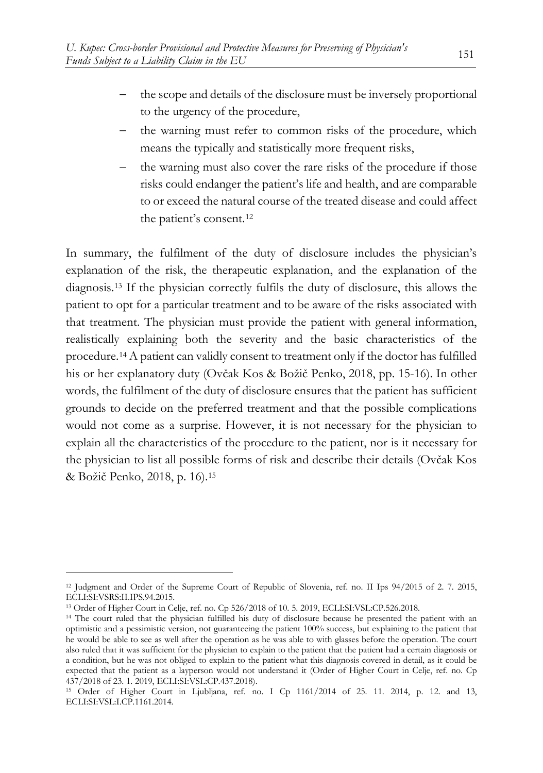- the scope and details of the disclosure must be inversely proportional to the urgency of the procedure,
- the warning must refer to common risks of the procedure, which means the typically and statistically more frequent risks,
- the warning must also cover the rare risks of the procedure if those risks could endanger the patient's life and health, and are comparable to or exceed the natural course of the treated disease and could affect the patient's consent.[12](#page-4-0)

In summary, the fulfilment of the duty of disclosure includes the physician's explanation of the risk, the therapeutic explanation, and the explanation of the diagnosis.[13](#page-4-1) If the physician correctly fulfils the duty of disclosure, this allows the patient to opt for a particular treatment and to be aware of the risks associated with that treatment. The physician must provide the patient with general information, realistically explaining both the severity and the basic characteristics of the procedure.[14](#page-4-2) A patient can validly consent to treatment only if the doctor has fulfilled his or her explanatory duty (Ovčak Kos & Božič Penko, 2018, pp. 15-16). In other words, the fulfilment of the duty of disclosure ensures that the patient has sufficient grounds to decide on the preferred treatment and that the possible complications would not come as a surprise. However, it is not necessary for the physician to explain all the characteristics of the procedure to the patient, nor is it necessary for the physician to list all possible forms of risk and describe their details (Ovčak Kos & Božič Penko, 2018, p. 16).[15](#page-4-3)

<span id="page-4-0"></span><sup>12</sup> Judgment and Order of the Supreme Court of Republic of Slovenia, ref. no. II Ips 94/2015 of 2. 7. 2015, ECLI:SI:VSRS:II.IPS.94.2015.

<span id="page-4-1"></span><sup>13</sup> Order of Higher Court in Celje, ref. no. Cp 526/2018 of 10. 5. 2019, ECLI:SI:VSL:CP.526.2018.

<span id="page-4-2"></span><sup>&</sup>lt;sup>14</sup> The court ruled that the physician fulfilled his duty of disclosure because he presented the patient with an optimistic and a pessimistic version, not guaranteeing the patient 100% success, but explaining to the patient that he would be able to see as well after the operation as he was able to with glasses before the operation. The court also ruled that it was sufficient for the physician to explain to the patient that the patient had a certain diagnosis or a condition, but he was not obliged to explain to the patient what this diagnosis covered in detail, as it could be expected that the patient as a layperson would not understand it (Order of Higher Court in Celje, ref. no. Cp 437/2018 of 23. 1. 2019, ECLI:SI:VSL:CP.437.2018).

<span id="page-4-3"></span><sup>15</sup> Order of Higher Court in Ljubljana, ref. no. I Cp 1161/2014 of 25. 11. 2014, p. 12. and 13, ECLI:SI:VSL:I.CP.1161.2014.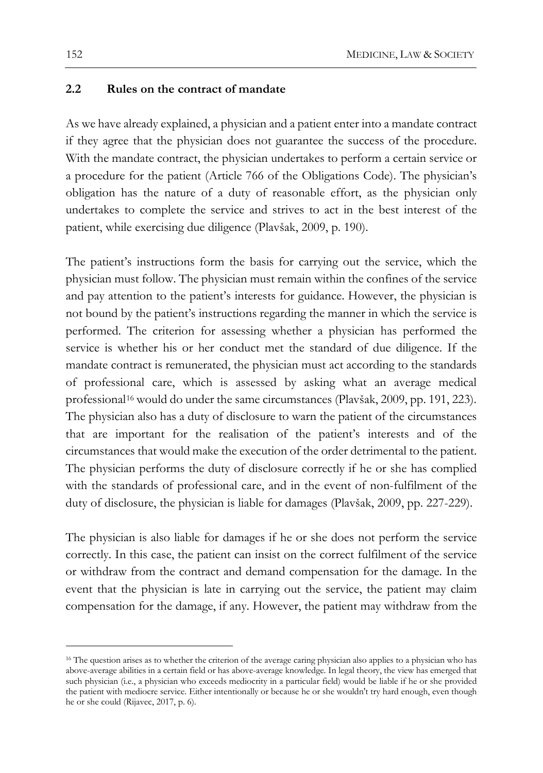#### **2.2 Rules on the contract of mandate**

As we have already explained, a physician and a patient enter into a mandate contract if they agree that the physician does not guarantee the success of the procedure. With the mandate contract, the physician undertakes to perform a certain service or a procedure for the patient (Article 766 of the Obligations Code). The physician's obligation has the nature of a duty of reasonable effort, as the physician only undertakes to complete the service and strives to act in the best interest of the patient, while exercising due diligence (Plavšak, 2009, p. 190).

The patient's instructions form the basis for carrying out the service, which the physician must follow. The physician must remain within the confines of the service and pay attention to the patient's interests for guidance. However, the physician is not bound by the patient's instructions regarding the manner in which the service is performed. The criterion for assessing whether a physician has performed the service is whether his or her conduct met the standard of due diligence. If the mandate contract is remunerated, the physician must act according to the standards of professional care, which is assessed by asking what an average medical professional<sup>[16](#page-5-0)</sup> would do under the same circumstances (Plavšak, 2009, pp. 191, 223). The physician also has a duty of disclosure to warn the patient of the circumstances that are important for the realisation of the patient's interests and of the circumstances that would make the execution of the order detrimental to the patient. The physician performs the duty of disclosure correctly if he or she has complied with the standards of professional care, and in the event of non-fulfilment of the duty of disclosure, the physician is liable for damages (Plavšak, 2009, pp. 227-229).

The physician is also liable for damages if he or she does not perform the service correctly. In this case, the patient can insist on the correct fulfilment of the service or withdraw from the contract and demand compensation for the damage. In the event that the physician is late in carrying out the service, the patient may claim compensation for the damage, if any. However, the patient may withdraw from the

<span id="page-5-0"></span><sup>&</sup>lt;sup>16</sup> The question arises as to whether the criterion of the average caring physician also applies to a physician who has above-average abilities in a certain field or has above-average knowledge. In legal theory, the view has emerged that such physician (i.e., a physician who exceeds mediocrity in a particular field) would be liable if he or she provided the patient with mediocre service. Either intentionally or because he or she wouldn't try hard enough, even though he or she could (Rijavec, 2017, p. 6).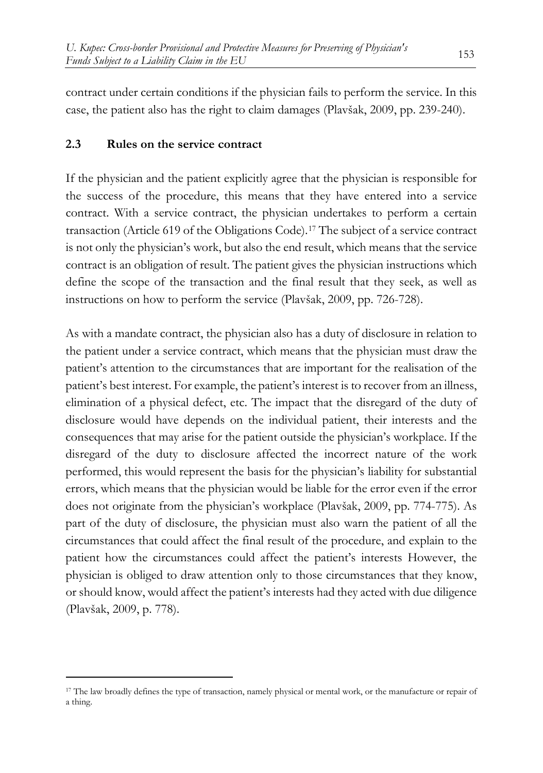contract under certain conditions if the physician fails to perform the service. In this case, the patient also has the right to claim damages (Plavšak, 2009, pp. 239-240).

## **2.3 Rules on the service contract**

If the physician and the patient explicitly agree that the physician is responsible for the success of the procedure, this means that they have entered into a service contract. With a service contract, the physician undertakes to perform a certain transaction (Article 619 of the Obligations Code).[17](#page-6-0) The subject of a service contract is not only the physician's work, but also the end result, which means that the service contract is an obligation of result. The patient gives the physician instructions which define the scope of the transaction and the final result that they seek, as well as instructions on how to perform the service (Plavšak, 2009, pp. 726-728).

As with a mandate contract, the physician also has a duty of disclosure in relation to the patient under a service contract, which means that the physician must draw the patient's attention to the circumstances that are important for the realisation of the patient's best interest. For example, the patient's interest is to recover from an illness, elimination of a physical defect, etc. The impact that the disregard of the duty of disclosure would have depends on the individual patient, their interests and the consequences that may arise for the patient outside the physician's workplace. If the disregard of the duty to disclosure affected the incorrect nature of the work performed, this would represent the basis for the physician's liability for substantial errors, which means that the physician would be liable for the error even if the error does not originate from the physician's workplace (Plavšak, 2009, pp. 774-775). As part of the duty of disclosure, the physician must also warn the patient of all the circumstances that could affect the final result of the procedure, and explain to the patient how the circumstances could affect the patient's interests However, the physician is obliged to draw attention only to those circumstances that they know, or should know, would affect the patient's interests had they acted with due diligence (Plavšak, 2009, p. 778).

<span id="page-6-0"></span><sup>&</sup>lt;sup>17</sup> The law broadly defines the type of transaction, namely physical or mental work, or the manufacture or repair of a thing.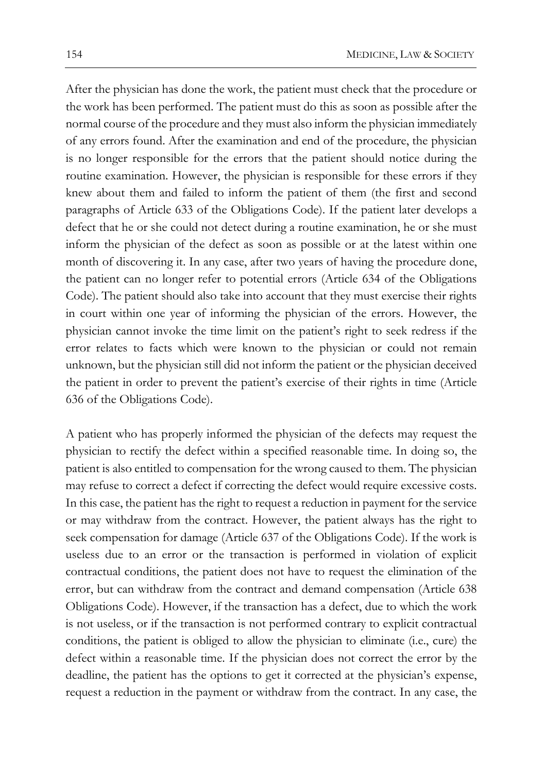After the physician has done the work, the patient must check that the procedure or the work has been performed. The patient must do this as soon as possible after the normal course of the procedure and they must also inform the physician immediately of any errors found. After the examination and end of the procedure, the physician is no longer responsible for the errors that the patient should notice during the routine examination. However, the physician is responsible for these errors if they knew about them and failed to inform the patient of them (the first and second paragraphs of Article 633 of the Obligations Code). If the patient later develops a defect that he or she could not detect during a routine examination, he or she must inform the physician of the defect as soon as possible or at the latest within one month of discovering it. In any case, after two years of having the procedure done, the patient can no longer refer to potential errors (Article 634 of the Obligations Code). The patient should also take into account that they must exercise their rights in court within one year of informing the physician of the errors. However, the physician cannot invoke the time limit on the patient's right to seek redress if the error relates to facts which were known to the physician or could not remain unknown, but the physician still did not inform the patient or the physician deceived the patient in order to prevent the patient's exercise of their rights in time (Article 636 of the Obligations Code).

A patient who has properly informed the physician of the defects may request the physician to rectify the defect within a specified reasonable time. In doing so, the patient is also entitled to compensation for the wrong caused to them. The physician may refuse to correct a defect if correcting the defect would require excessive costs. In this case, the patient has the right to request a reduction in payment for the service or may withdraw from the contract. However, the patient always has the right to seek compensation for damage (Article 637 of the Obligations Code). If the work is useless due to an error or the transaction is performed in violation of explicit contractual conditions, the patient does not have to request the elimination of the error, but can withdraw from the contract and demand compensation (Article 638 Obligations Code). However, if the transaction has a defect, due to which the work is not useless, or if the transaction is not performed contrary to explicit contractual conditions, the patient is obliged to allow the physician to eliminate (i.e., cure) the defect within a reasonable time. If the physician does not correct the error by the deadline, the patient has the options to get it corrected at the physician's expense, request a reduction in the payment or withdraw from the contract. In any case, the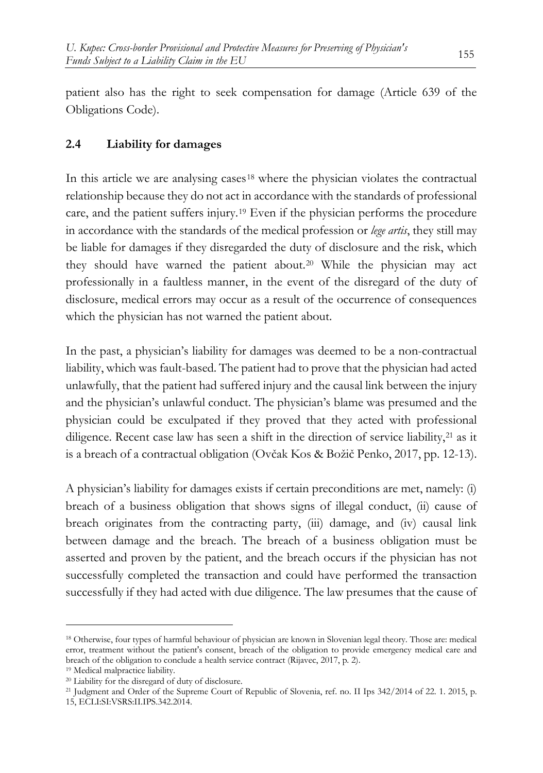patient also has the right to seek compensation for damage (Article 639 of the Obligations Code).

## **2.4 Liability for damages**

In this article we are analysing cases<sup>[18](#page-8-0)</sup> where the physician violates the contractual relationship because they do not act in accordance with the standards of professional care, and the patient suffers injury.[19](#page-8-1) Even if the physician performs the procedure in accordance with the standards of the medical profession or *lege artis*, they still may be liable for damages if they disregarded the duty of disclosure and the risk, which they should have warned the patient about.[20](#page-8-2) While the physician may act professionally in a faultless manner, in the event of the disregard of the duty of disclosure, medical errors may occur as a result of the occurrence of consequences which the physician has not warned the patient about.

In the past, a physician's liability for damages was deemed to be a non-contractual liability, which was fault-based. The patient had to prove that the physician had acted unlawfully, that the patient had suffered injury and the causal link between the injury and the physician's unlawful conduct. The physician's blame was presumed and the physician could be exculpated if they proved that they acted with professional diligence. Recent case law has seen a shift in the direction of service liability, $2<sup>1</sup>$  as it is a breach of a contractual obligation (Ovčak Kos & Božič Penko, 2017, pp. 12-13).

A physician's liability for damages exists if certain preconditions are met, namely: (i) breach of a business obligation that shows signs of illegal conduct, (ii) cause of breach originates from the contracting party, (iii) damage, and (iv) causal link between damage and the breach. The breach of a business obligation must be asserted and proven by the patient, and the breach occurs if the physician has not successfully completed the transaction and could have performed the transaction successfully if they had acted with due diligence. The law presumes that the cause of

<span id="page-8-0"></span><sup>18</sup> Otherwise, four types of harmful behaviour of physician are known in Slovenian legal theory. Those are: medical error, treatment without the patient's consent, breach of the obligation to provide emergency medical care and breach of the obligation to conclude a health service contract (Rijavec, 2017, p. 2).

<span id="page-8-1"></span><sup>19</sup> Medical malpractice liability.

<span id="page-8-2"></span><sup>20</sup> Liability for the disregard of duty of disclosure.

<span id="page-8-3"></span><sup>21</sup> Judgment and Order of the Supreme Court of Republic of Slovenia, ref. no. II Ips 342/2014 of 22. 1. 2015, p. 15, ECLI:SI:VSRS:II.IPS.342.2014.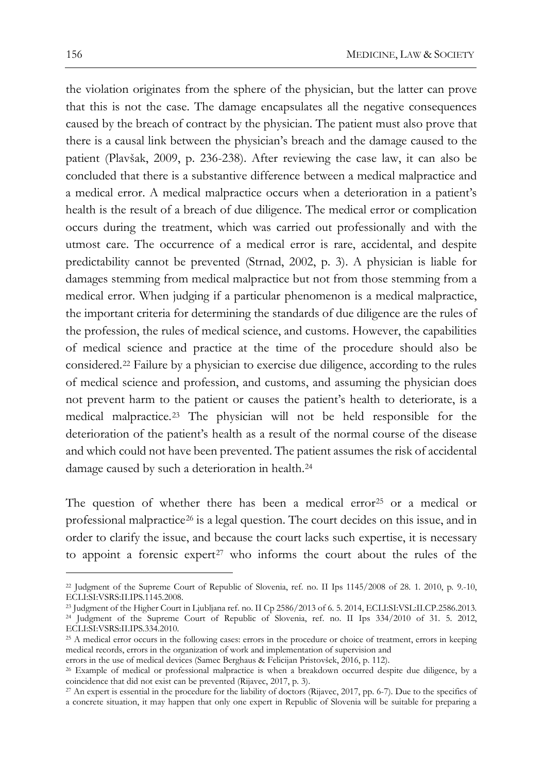the violation originates from the sphere of the physician, but the latter can prove that this is not the case. The damage encapsulates all the negative consequences caused by the breach of contract by the physician. The patient must also prove that there is a causal link between the physician's breach and the damage caused to the patient (Plavšak, 2009, p. 236-238). After reviewing the case law, it can also be concluded that there is a substantive difference between a medical malpractice and a medical error. A medical malpractice occurs when a deterioration in a patient's health is the result of a breach of due diligence. The medical error or complication occurs during the treatment, which was carried out professionally and with the utmost care. The occurrence of a medical error is rare, accidental, and despite predictability cannot be prevented (Strnad, 2002, p. 3). A physician is liable for damages stemming from medical malpractice but not from those stemming from a medical error. When judging if a particular phenomenon is a medical malpractice, the important criteria for determining the standards of due diligence are the rules of the profession, the rules of medical science, and customs. However, the capabilities of medical science and practice at the time of the procedure should also be considered.[22](#page-9-0) Failure by a physician to exercise due diligence, according to the rules of medical science and profession, and customs, and assuming the physician does not prevent harm to the patient or causes the patient's health to deteriorate, is a medical malpractice.[23](#page-9-1) The physician will not be held responsible for the deterioration of the patient's health as a result of the normal course of the disease and which could not have been prevented. The patient assumes the risk of accidental damage caused by such a deterioration in health.[24](#page-9-2)

The question of whether there has been a medical error<sup>[25](#page-9-3)</sup> or a medical or professional malpractice<sup>[26](#page-9-4)</sup> is a legal question. The court decides on this issue, and in order to clarify the issue, and because the court lacks such expertise, it is necessary to appoint a forensic expert<sup>[27](#page-9-5)</sup> who informs the court about the rules of the

<span id="page-9-0"></span><sup>22</sup> Judgment of the Supreme Court of Republic of Slovenia, ref. no. II Ips 1145/2008 of 28. 1. 2010, p. 9.-10, ECLI:SI:VSRS:II.IPS.1145.2008.

<span id="page-9-2"></span><span id="page-9-1"></span><sup>23</sup> Judgment of the Higher Court in Ljubljana ref. no. II Cp 2586/2013 of 6. 5. 2014, ECLI:SI:VSL:II.CP.2586.2013. <sup>24</sup> Judgment of the Supreme Court of Republic of Slovenia, ref. no. II Ips 334/2010 of 31. 5. 2012, ECLI:SI:VSRS:II.IPS.334.2010.

<span id="page-9-3"></span><sup>25</sup> A medical error occurs in the following cases: errors in the procedure or choice of treatment, errors in keeping medical records, errors in the organization of work and implementation of supervision and

errors in the use of medical devices (Samec Berghaus & Felicijan Pristovšek, 2016, p. 112).

<span id="page-9-4"></span><sup>26</sup> Example of medical or professional malpractice is when a breakdown occurred despite due diligence, by a coincidence that did not exist can be prevented (Rijavec, 2017, p. 3).

<span id="page-9-5"></span><sup>27</sup> An expert is essential in the procedure for the liability of doctors (Rijavec, 2017, pp. 6-7). Due to the specifics of a concrete situation, it may happen that only one expert in Republic of Slovenia will be suitable for preparing a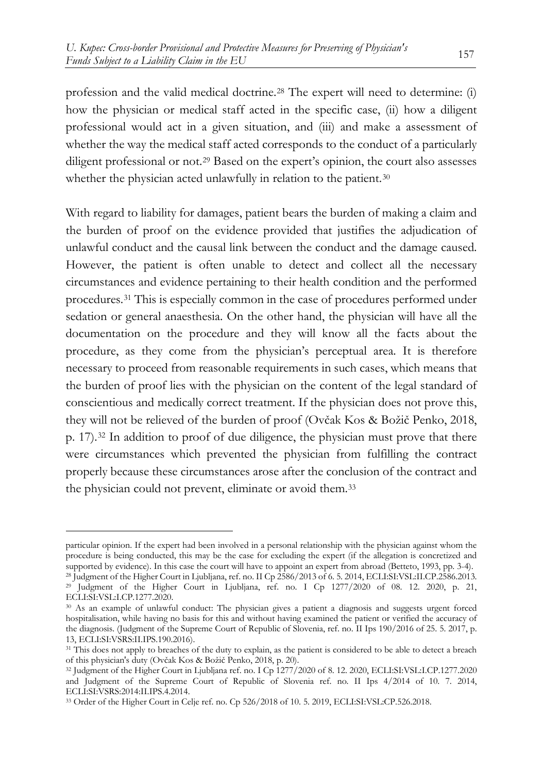profession and the valid medical doctrine.[28](#page-10-0) The expert will need to determine: (i) how the physician or medical staff acted in the specific case, (ii) how a diligent professional would act in a given situation, and (iii) and make a assessment of whether the way the medical staff acted corresponds to the conduct of a particularly diligent professional or not.<sup>[29](#page-10-1)</sup> Based on the expert's opinion, the court also assesses whether the physician acted unlawfully in relation to the patient.<sup>[30](#page-10-2)</sup>

With regard to liability for damages, patient bears the burden of making a claim and the burden of proof on the evidence provided that justifies the adjudication of unlawful conduct and the causal link between the conduct and the damage caused. However, the patient is often unable to detect and collect all the necessary circumstances and evidence pertaining to their health condition and the performed procedures.[31](#page-10-3) This is especially common in the case of procedures performed under sedation or general anaesthesia. On the other hand, the physician will have all the documentation on the procedure and they will know all the facts about the procedure, as they come from the physician's perceptual area. It is therefore necessary to proceed from reasonable requirements in such cases, which means that the burden of proof lies with the physician on the content of the legal standard of conscientious and medically correct treatment. If the physician does not prove this, they will not be relieved of the burden of proof (Ovčak Kos & Božič Penko, 2018, p. 17).[32](#page-10-4) In addition to proof of due diligence, the physician must prove that there were circumstances which prevented the physician from fulfilling the contract properly because these circumstances arose after the conclusion of the contract and the physician could not prevent, eliminate or avoid them.[33](#page-10-5)

particular opinion. If the expert had been involved in a personal relationship with the physician against whom the procedure is being conducted, this may be the case for excluding the expert (if the allegation is concretized and supported by evidence). In this case the court will have to appoint an expert from abroad (Betteto, 1993, pp. 3-4). <sup>28</sup> Judgment of the Higher Court in Ljubljana, ref. no. II Cp 2586/2013 of 6. 5. 2014, ECLI:SI:VSL:II.CP.2586.2013.

<span id="page-10-1"></span><span id="page-10-0"></span><sup>29</sup> Judgment of the Higher Court in Ljubljana, ref. no. I Cp 1277/2020 of 08. 12. 2020, p. 21, ECLI:SI:VSL:I.CP.1277.2020.

<span id="page-10-2"></span><sup>30</sup> As an example of unlawful conduct: The physician gives a patient a diagnosis and suggests urgent forced hospitalisation, while having no basis for this and without having examined the patient or verified the accuracy of the diagnosis. (Judgment of the Supreme Court of Republic of Slovenia, ref. no. II Ips 190/2016 of 25. 5. 2017, p. 13, ECLI:SI:VSRS:II.IPS.190.2016).

<span id="page-10-3"></span><sup>&</sup>lt;sup>31</sup> This does not apply to breaches of the duty to explain, as the patient is considered to be able to detect a breach of this physician's duty (Ovčak Kos & Božič Penko, 2018, p. 20).

<span id="page-10-4"></span><sup>32</sup> Judgment of the Higher Court in Ljubljana ref. no. I Cp 1277/2020 of 8. 12. 2020, ECLI:SI:VSL:I.CP.1277.2020 and Judgment of the Supreme Court of Republic of Slovenia ref. no. II Ips 4/2014 of 10. 7. 2014, ECLI:SI:VSRS:2014:II.IPS.4.2014.

<span id="page-10-5"></span><sup>33</sup> Order of the Higher Court in Celje ref. no. Cp 526/2018 of 10. 5. 2019, ECLI:SI:VSL:CP.526.2018.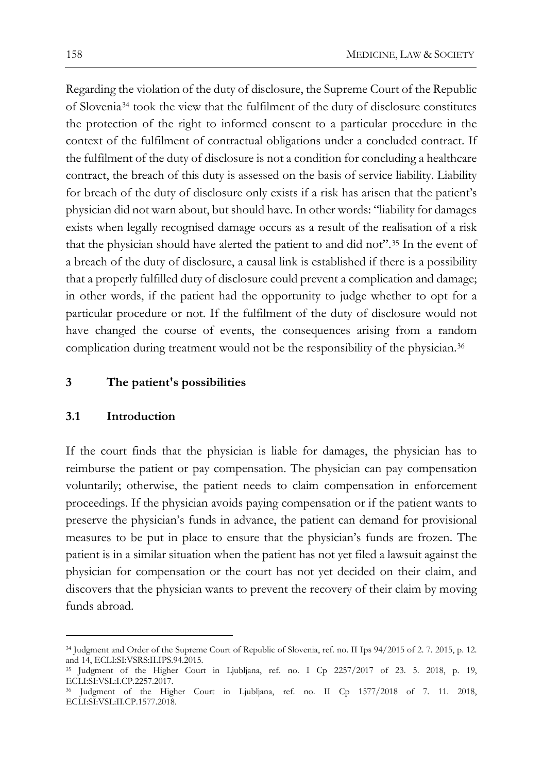Regarding the violation of the duty of disclosure, the Supreme Court of the Republic of Slovenia[34](#page-11-0) took the view that the fulfilment of the duty of disclosure constitutes the protection of the right to informed consent to a particular procedure in the context of the fulfilment of contractual obligations under a concluded contract. If the fulfilment of the duty of disclosure is not a condition for concluding a healthcare contract, the breach of this duty is assessed on the basis of service liability. Liability for breach of the duty of disclosure only exists if a risk has arisen that the patient's physician did not warn about, but should have. In other words: "liability for damages exists when legally recognised damage occurs as a result of the realisation of a risk that the physician should have alerted the patient to and did not".[35](#page-11-1) In the event of a breach of the duty of disclosure, a causal link is established if there is a possibility that a properly fulfilled duty of disclosure could prevent a complication and damage; in other words, if the patient had the opportunity to judge whether to opt for a particular procedure or not. If the fulfilment of the duty of disclosure would not have changed the course of events, the consequences arising from a random complication during treatment would not be the responsibility of the physician.<sup>[36](#page-11-2)</sup>

#### **3 The patient's possibilities**

#### **3.1 Introduction**

If the court finds that the physician is liable for damages, the physician has to reimburse the patient or pay compensation. The physician can pay compensation voluntarily; otherwise, the patient needs to claim compensation in enforcement proceedings. If the physician avoids paying compensation or if the patient wants to preserve the physician's funds in advance, the patient can demand for provisional measures to be put in place to ensure that the physician's funds are frozen. The patient is in a similar situation when the patient has not yet filed a lawsuit against the physician for compensation or the court has not yet decided on their claim, and discovers that the physician wants to prevent the recovery of their claim by moving funds abroad.

<span id="page-11-0"></span><sup>34</sup> Judgment and Order of the Supreme Court of Republic of Slovenia, ref. no. II Ips 94/2015 of 2. 7. 2015, p. 12. and 14, ECLI:SI:VSRS:II.IPS.94.2015.

<span id="page-11-1"></span><sup>35</sup> Judgment of the Higher Court in Ljubljana, ref. no. I Cp 2257/2017 of 23. 5. 2018, p. 19, ECLI:SI:VSL:I.CP.2257.2017.

<span id="page-11-2"></span><sup>36</sup> Judgment of the Higher Court in Ljubljana, ref. no. II Cp 1577/2018 of 7. 11. 2018, ECLI:SI:VSL:II.CP.1577.2018.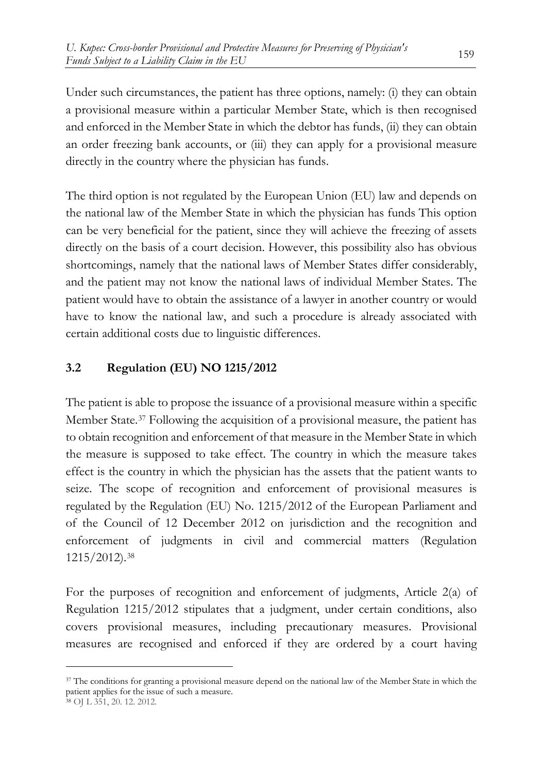Under such circumstances, the patient has three options, namely: (i) they can obtain a provisional measure within a particular Member State, which is then recognised and enforced in the Member State in which the debtor has funds, (ii) they can obtain an order freezing bank accounts, or (iii) they can apply for a provisional measure directly in the country where the physician has funds.

The third option is not regulated by the European Union (EU) law and depends on the national law of the Member State in which the physician has funds This option can be very beneficial for the patient, since they will achieve the freezing of assets directly on the basis of a court decision. However, this possibility also has obvious shortcomings, namely that the national laws of Member States differ considerably, and the patient may not know the national laws of individual Member States. The patient would have to obtain the assistance of a lawyer in another country or would have to know the national law, and such a procedure is already associated with certain additional costs due to linguistic differences.

## **3.2 Regulation (EU) NO 1215/2012**

The patient is able to propose the issuance of a provisional measure within a specific Member State.[37](#page-12-0) Following the acquisition of a provisional measure, the patient has to obtain recognition and enforcement of that measure in the Member State in which the measure is supposed to take effect. The country in which the measure takes effect is the country in which the physician has the assets that the patient wants to seize. The scope of recognition and enforcement of provisional measures is regulated by the Regulation (EU) No. 1215/2012 of the European Parliament and of the Council of 12 December 2012 on jurisdiction and the recognition and enforcement of judgments in civil and commercial matters (Regulation 1215/2012).[38](#page-12-1)

For the purposes of recognition and enforcement of judgments, Article 2(a) of Regulation 1215/2012 stipulates that a judgment, under certain conditions, also covers provisional measures, including precautionary measures. Provisional measures are recognised and enforced if they are ordered by a court having

<span id="page-12-0"></span><sup>&</sup>lt;sup>37</sup> The conditions for granting a provisional measure depend on the national law of the Member State in which the patient applies for the issue of such a measure.

<span id="page-12-1"></span><sup>38</sup> OJ L 351, 20. 12. 2012.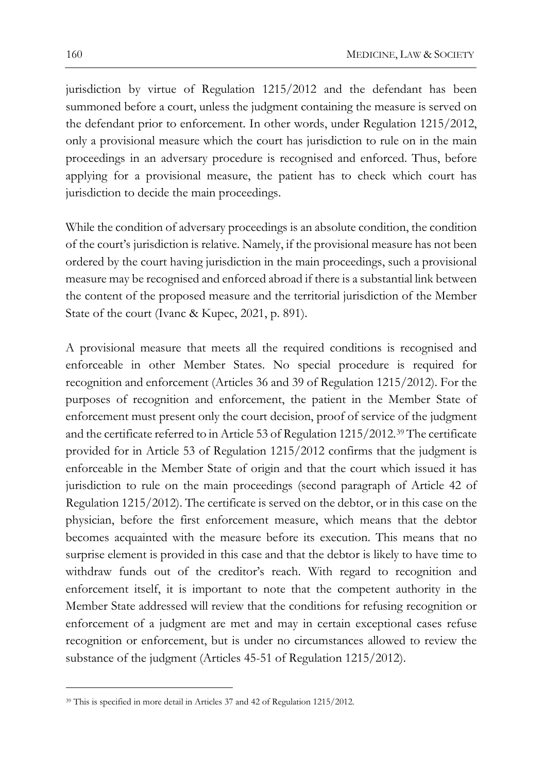jurisdiction by virtue of Regulation 1215/2012 and the defendant has been summoned before a court, unless the judgment containing the measure is served on the defendant prior to enforcement. In other words, under Regulation 1215/2012, only a provisional measure which the court has jurisdiction to rule on in the main proceedings in an adversary procedure is recognised and enforced. Thus, before applying for a provisional measure, the patient has to check which court has jurisdiction to decide the main proceedings.

While the condition of adversary proceedings is an absolute condition, the condition of the court's jurisdiction is relative. Namely, if the provisional measure has not been ordered by the court having jurisdiction in the main proceedings, such a provisional measure may be recognised and enforced abroad if there is a substantial link between the content of the proposed measure and the territorial jurisdiction of the Member State of the court (Ivanc & Kupec, 2021, p. 891).

A provisional measure that meets all the required conditions is recognised and enforceable in other Member States. No special procedure is required for recognition and enforcement (Articles 36 and 39 of Regulation 1215/2012). For the purposes of recognition and enforcement, the patient in the Member State of enforcement must present only the court decision, proof of service of the judgment and the certificate referred to in Article 53 of Regulation 1215/2012.[39](#page-13-0) The certificate provided for in Article 53 of Regulation 1215/2012 confirms that the judgment is enforceable in the Member State of origin and that the court which issued it has jurisdiction to rule on the main proceedings (second paragraph of Article 42 of Regulation 1215/2012). The certificate is served on the debtor, or in this case on the physician, before the first enforcement measure, which means that the debtor becomes acquainted with the measure before its execution. This means that no surprise element is provided in this case and that the debtor is likely to have time to withdraw funds out of the creditor's reach. With regard to recognition and enforcement itself, it is important to note that the competent authority in the Member State addressed will review that the conditions for refusing recognition or enforcement of a judgment are met and may in certain exceptional cases refuse recognition or enforcement, but is under no circumstances allowed to review the substance of the judgment (Articles 45-51 of Regulation 1215/2012).

<span id="page-13-0"></span><sup>39</sup> This is specified in more detail in Articles 37 and 42 of Regulation 1215/2012.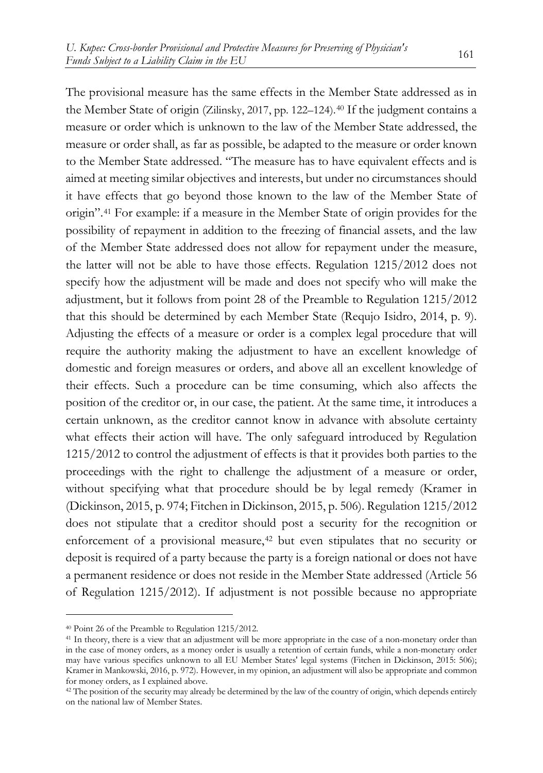The provisional measure has the same effects in the Member State addressed as in the Member State of origin (Zilinsky, 2017, pp. 122–124).[40](#page-14-0) If the judgment contains a measure or order which is unknown to the law of the Member State addressed, the measure or order shall, as far as possible, be adapted to the measure or order known to the Member State addressed. "The measure has to have equivalent effects and is aimed at meeting similar objectives and interests, but under no circumstances should it have effects that go beyond those known to the law of the Member State of origin".[41](#page-14-1) For example: if a measure in the Member State of origin provides for the possibility of repayment in addition to the freezing of financial assets, and the law of the Member State addressed does not allow for repayment under the measure, the latter will not be able to have those effects. Regulation 1215/2012 does not specify how the adjustment will be made and does not specify who will make the adjustment, but it follows from point 28 of the Preamble to Regulation 1215/2012 that this should be determined by each Member State (Requjo Isidro, 2014, p. 9). Adjusting the effects of a measure or order is a complex legal procedure that will require the authority making the adjustment to have an excellent knowledge of domestic and foreign measures or orders, and above all an excellent knowledge of their effects. Such a procedure can be time consuming, which also affects the position of the creditor or, in our case, the patient. At the same time, it introduces a certain unknown, as the creditor cannot know in advance with absolute certainty what effects their action will have. The only safeguard introduced by Regulation 1215/2012 to control the adjustment of effects is that it provides both parties to the proceedings with the right to challenge the adjustment of a measure or order, without specifying what that procedure should be by legal remedy (Kramer in (Dickinson, 2015, p. 974; Fitchen in Dickinson, 2015, p. 506). Regulation 1215/2012 does not stipulate that a creditor should post a security for the recognition or enforcement of a provisional measure,<sup>42</sup> but even stipulates that no security or deposit is required of a party because the party is a foreign national or does not have a permanent residence or does not reside in the Member State addressed (Article 56 of Regulation 1215/2012). If adjustment is not possible because no appropriate

<span id="page-14-0"></span><sup>40</sup> Point 26 of the Preamble to Regulation 1215/2012.

<span id="page-14-1"></span><sup>41</sup> In theory, there is a view that an adjustment will be more appropriate in the case of a non-monetary order than in the case of money orders, as a money order is usually a retention of certain funds, while a non-monetary order may have various specifics unknown to all EU Member States' legal systems (Fitchen in Dickinson, 2015: 506); Kramer in Mankowski, 2016, p. 972). However, in my opinion, an adjustment will also be appropriate and common for money orders, as I explained above.

<span id="page-14-2"></span><sup>&</sup>lt;sup>42</sup> The position of the security may already be determined by the law of the country of origin, which depends entirely on the national law of Member States.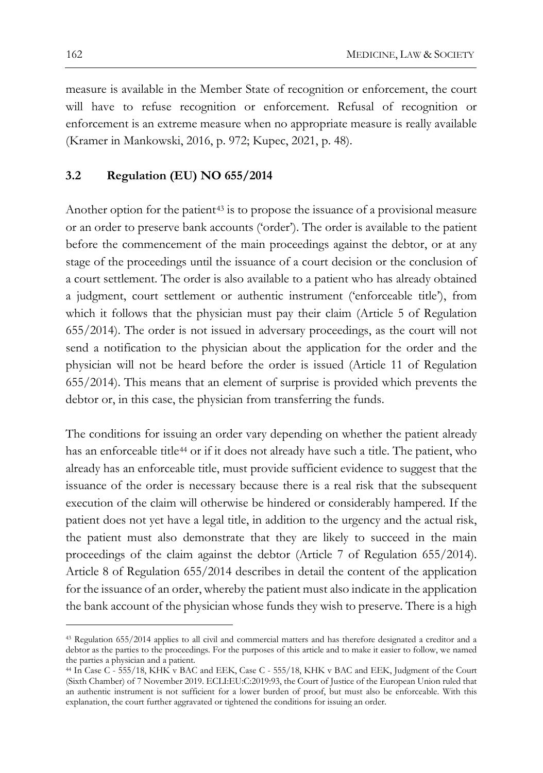measure is available in the Member State of recognition or enforcement, the court will have to refuse recognition or enforcement. Refusal of recognition or enforcement is an extreme measure when no appropriate measure is really available (Kramer in Mankowski, 2016, p. 972; Kupec, 2021, p. 48).

### **3.2 Regulation (EU) NO 655/2014**

Another option for the patient<sup>[43](#page-15-0)</sup> is to propose the issuance of a provisional measure or an order to preserve bank accounts ('order'). The order is available to the patient before the commencement of the main proceedings against the debtor, or at any stage of the proceedings until the issuance of a court decision or the conclusion of a court settlement. The order is also available to a patient who has already obtained a judgment, court settlement or authentic instrument ('enforceable title'), from which it follows that the physician must pay their claim (Article 5 of Regulation 655/2014). The order is not issued in adversary proceedings, as the court will not send a notification to the physician about the application for the order and the physician will not be heard before the order is issued (Article 11 of Regulation 655/2014). This means that an element of surprise is provided which prevents the debtor or, in this case, the physician from transferring the funds.

The conditions for issuing an order vary depending on whether the patient already has an enforceable title<sup>[44](#page-15-1)</sup> or if it does not already have such a title. The patient, who already has an enforceable title, must provide sufficient evidence to suggest that the issuance of the order is necessary because there is a real risk that the subsequent execution of the claim will otherwise be hindered or considerably hampered. If the patient does not yet have a legal title, in addition to the urgency and the actual risk, the patient must also demonstrate that they are likely to succeed in the main proceedings of the claim against the debtor (Article 7 of Regulation 655/2014). Article 8 of Regulation 655/2014 describes in detail the content of the application for the issuance of an order, whereby the patient must also indicate in the application the bank account of the physician whose funds they wish to preserve. There is a high

<span id="page-15-0"></span><sup>43</sup> Regulation 655/2014 applies to all civil and commercial matters and has therefore designated a creditor and a debtor as the parties to the proceedings. For the purposes of this article and to make it easier to follow, we named the parties a physician and a patient.

<span id="page-15-1"></span><sup>&</sup>lt;sup>44</sup> In Case C - 555/18, KHK v BAC and EEK, Case C - 555/18, KHK v BAC and EEK, Judgment of the Court (Sixth Chamber) of 7 November 2019. ECLI:EU:C:2019:93, the Court of Justice of the European Union ruled that an authentic instrument is not sufficient for a lower burden of proof, but must also be enforceable. With this explanation, the court further aggravated or tightened the conditions for issuing an order.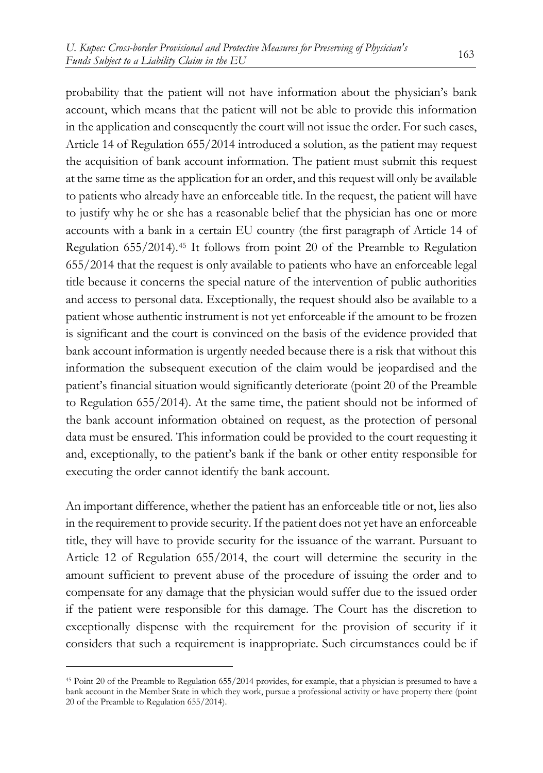probability that the patient will not have information about the physician's bank account, which means that the patient will not be able to provide this information in the application and consequently the court will not issue the order. For such cases, Article 14 of Regulation 655/2014 introduced a solution, as the patient may request the acquisition of bank account information. The patient must submit this request at the same time as the application for an order, and this request will only be available to patients who already have an enforceable title. In the request, the patient will have to justify why he or she has a reasonable belief that the physician has one or more accounts with a bank in a certain EU country (the first paragraph of Article 14 of Regulation 655/2014).[45](#page-16-0) It follows from point 20 of the Preamble to Regulation 655/2014 that the request is only available to patients who have an enforceable legal title because it concerns the special nature of the intervention of public authorities and access to personal data. Exceptionally, the request should also be available to a patient whose authentic instrument is not yet enforceable if the amount to be frozen is significant and the court is convinced on the basis of the evidence provided that bank account information is urgently needed because there is a risk that without this information the subsequent execution of the claim would be jeopardised and the patient's financial situation would significantly deteriorate (point 20 of the Preamble to Regulation 655/2014). At the same time, the patient should not be informed of the bank account information obtained on request, as the protection of personal data must be ensured. This information could be provided to the court requesting it and, exceptionally, to the patient's bank if the bank or other entity responsible for executing the order cannot identify the bank account.

An important difference, whether the patient has an enforceable title or not, lies also in the requirement to provide security. If the patient does not yet have an enforceable title, they will have to provide security for the issuance of the warrant. Pursuant to Article 12 of Regulation 655/2014, the court will determine the security in the amount sufficient to prevent abuse of the procedure of issuing the order and to compensate for any damage that the physician would suffer due to the issued order if the patient were responsible for this damage. The Court has the discretion to exceptionally dispense with the requirement for the provision of security if it considers that such a requirement is inappropriate. Such circumstances could be if

<span id="page-16-0"></span><sup>45</sup> Point 20 of the Preamble to Regulation 655/2014 provides, for example, that a physician is presumed to have a bank account in the Member State in which they work, pursue a professional activity or have property there (point 20 of the Preamble to Regulation 655/2014).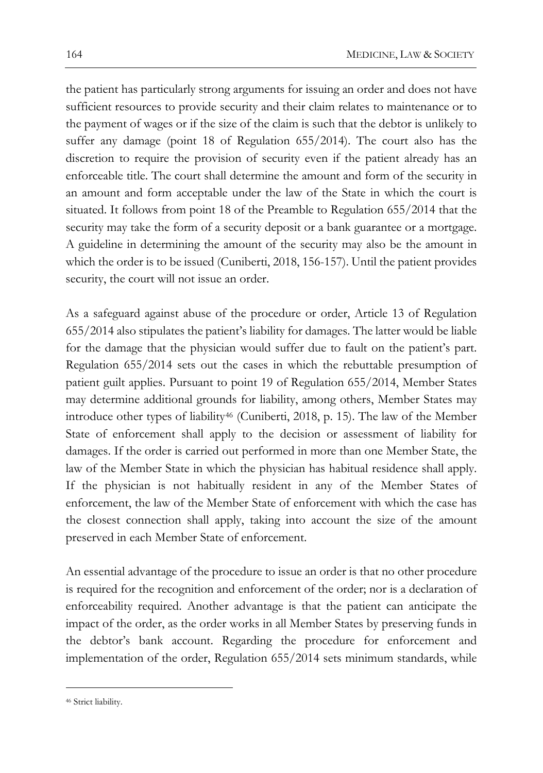the patient has particularly strong arguments for issuing an order and does not have sufficient resources to provide security and their claim relates to maintenance or to the payment of wages or if the size of the claim is such that the debtor is unlikely to suffer any damage (point 18 of Regulation 655/2014). The court also has the discretion to require the provision of security even if the patient already has an enforceable title. The court shall determine the amount and form of the security in an amount and form acceptable under the law of the State in which the court is situated. It follows from point 18 of the Preamble to Regulation 655/2014 that the security may take the form of a security deposit or a bank guarantee or a mortgage. A guideline in determining the amount of the security may also be the amount in which the order is to be issued (Cuniberti, 2018, 156-157). Until the patient provides security, the court will not issue an order.

As a safeguard against abuse of the procedure or order, Article 13 of Regulation 655/2014 also stipulates the patient's liability for damages. The latter would be liable for the damage that the physician would suffer due to fault on the patient's part. Regulation 655/2014 sets out the cases in which the rebuttable presumption of patient guilt applies. Pursuant to point 19 of Regulation 655/2014, Member States may determine additional grounds for liability, among others, Member States may introduce other types of liability[46](#page-17-0) (Cuniberti, 2018, p. 15). The law of the Member State of enforcement shall apply to the decision or assessment of liability for damages. If the order is carried out performed in more than one Member State, the law of the Member State in which the physician has habitual residence shall apply. If the physician is not habitually resident in any of the Member States of enforcement, the law of the Member State of enforcement with which the case has the closest connection shall apply, taking into account the size of the amount preserved in each Member State of enforcement.

An essential advantage of the procedure to issue an order is that no other procedure is required for the recognition and enforcement of the order; nor is a declaration of enforceability required. Another advantage is that the patient can anticipate the impact of the order, as the order works in all Member States by preserving funds in the debtor's bank account. Regarding the procedure for enforcement and implementation of the order, Regulation 655/2014 sets minimum standards, while

<span id="page-17-0"></span><sup>46</sup> Strict liability.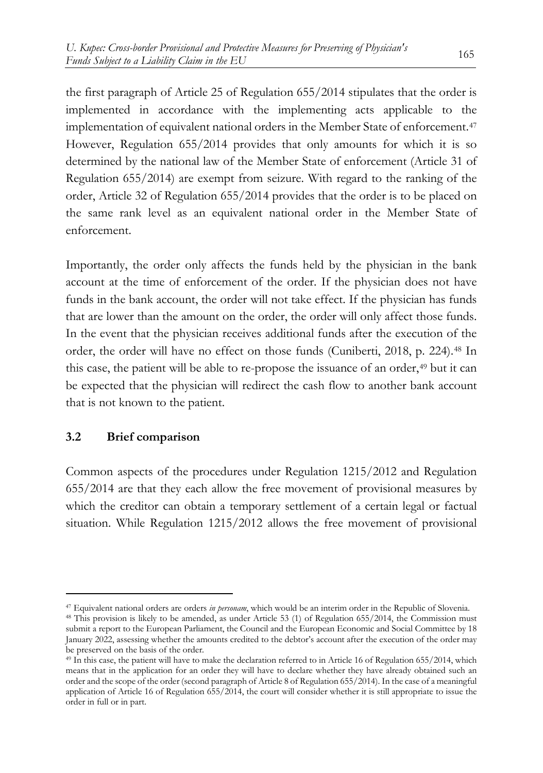the first paragraph of Article 25 of Regulation 655/2014 stipulates that the order is implemented in accordance with the implementing acts applicable to the implementation of equivalent national orders in the Member State of enforcement.[47](#page-18-0) However, Regulation 655/2014 provides that only amounts for which it is so determined by the national law of the Member State of enforcement (Article 31 of Regulation 655/2014) are exempt from seizure. With regard to the ranking of the order, Article 32 of Regulation 655/2014 provides that the order is to be placed on the same rank level as an equivalent national order in the Member State of enforcement.

Importantly, the order only affects the funds held by the physician in the bank account at the time of enforcement of the order. If the physician does not have funds in the bank account, the order will not take effect. If the physician has funds that are lower than the amount on the order, the order will only affect those funds. In the event that the physician receives additional funds after the execution of the order, the order will have no effect on those funds (Cuniberti, 2018, p. 224).[48](#page-18-1) In this case, the patient will be able to re-propose the issuance of an order,<sup>[49](#page-18-2)</sup> but it can be expected that the physician will redirect the cash flow to another bank account that is not known to the patient.

## **3.2 Brief comparison**

Common aspects of the procedures under Regulation 1215/2012 and Regulation 655/2014 are that they each allow the free movement of provisional measures by which the creditor can obtain a temporary settlement of a certain legal or factual situation. While Regulation 1215/2012 allows the free movement of provisional

<span id="page-18-0"></span><sup>47</sup> Equivalent national orders are orders *in personam*, which would be an interim order in the Republic of Slovenia.

<span id="page-18-1"></span><sup>48</sup> This provision is likely to be amended, as under Article 53 (1) of Regulation 655/2014, the Commission must submit a report to the European Parliament, the Council and the European Economic and Social Committee by 18 January 2022, assessing whether the amounts credited to the debtor's account after the execution of the order may be preserved on the basis of the order.

<span id="page-18-2"></span><sup>49</sup> In this case, the patient will have to make the declaration referred to in Article 16 of Regulation 655/2014, which means that in the application for an order they will have to declare whether they have already obtained such an order and the scope of the order (second paragraph of Article 8 of Regulation 655/2014). In the case of a meaningful application of Article 16 of Regulation 655/2014, the court will consider whether it is still appropriate to issue the order in full or in part.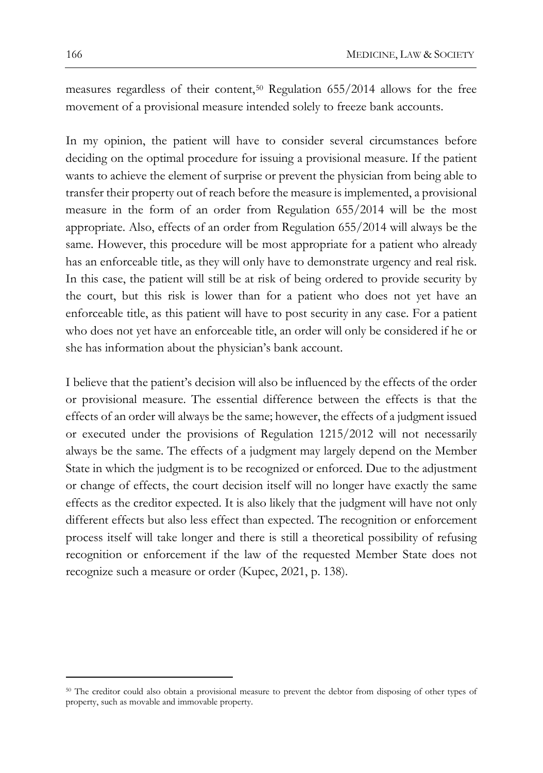measures regardless of their content,[50](#page-19-0) Regulation 655/2014 allows for the free movement of a provisional measure intended solely to freeze bank accounts.

In my opinion, the patient will have to consider several circumstances before deciding on the optimal procedure for issuing a provisional measure. If the patient wants to achieve the element of surprise or prevent the physician from being able to transfer their property out of reach before the measure is implemented, a provisional measure in the form of an order from Regulation 655/2014 will be the most appropriate. Also, effects of an order from Regulation 655/2014 will always be the same. However, this procedure will be most appropriate for a patient who already has an enforceable title, as they will only have to demonstrate urgency and real risk. In this case, the patient will still be at risk of being ordered to provide security by the court, but this risk is lower than for a patient who does not yet have an enforceable title, as this patient will have to post security in any case. For a patient who does not yet have an enforceable title, an order will only be considered if he or she has information about the physician's bank account.

I believe that the patient's decision will also be influenced by the effects of the order or provisional measure. The essential difference between the effects is that the effects of an order will always be the same; however, the effects of a judgment issued or executed under the provisions of Regulation 1215/2012 will not necessarily always be the same. The effects of a judgment may largely depend on the Member State in which the judgment is to be recognized or enforced. Due to the adjustment or change of effects, the court decision itself will no longer have exactly the same effects as the creditor expected. It is also likely that the judgment will have not only different effects but also less effect than expected. The recognition or enforcement process itself will take longer and there is still a theoretical possibility of refusing recognition or enforcement if the law of the requested Member State does not recognize such a measure or order (Kupec, 2021, p. 138).

<span id="page-19-0"></span><sup>50</sup> The creditor could also obtain a provisional measure to prevent the debtor from disposing of other types of property, such as movable and immovable property.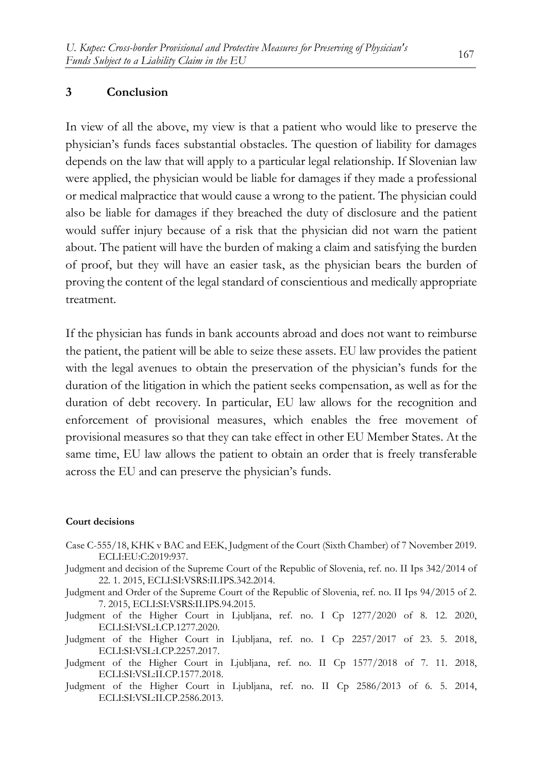## **3 Conclusion**

In view of all the above, my view is that a patient who would like to preserve the physician's funds faces substantial obstacles. The question of liability for damages depends on the law that will apply to a particular legal relationship. If Slovenian law were applied, the physician would be liable for damages if they made a professional or medical malpractice that would cause a wrong to the patient. The physician could also be liable for damages if they breached the duty of disclosure and the patient would suffer injury because of a risk that the physician did not warn the patient about. The patient will have the burden of making a claim and satisfying the burden of proof, but they will have an easier task, as the physician bears the burden of proving the content of the legal standard of conscientious and medically appropriate treatment.

If the physician has funds in bank accounts abroad and does not want to reimburse the patient, the patient will be able to seize these assets. EU law provides the patient with the legal avenues to obtain the preservation of the physician's funds for the duration of the litigation in which the patient seeks compensation, as well as for the duration of debt recovery. In particular, EU law allows for the recognition and enforcement of provisional measures, which enables the free movement of provisional measures so that they can take effect in other EU Member States. At the same time, EU law allows the patient to obtain an order that is freely transferable across the EU and can preserve the physician's funds.

#### **Court decisions**

- Case C-555/18, KHK v BAC and EEK, Judgment of the Court (Sixth Chamber) of 7 November 2019. ECLI:EU:C:2019:937.
- Judgment and decision of the Supreme Court of the Republic of Slovenia, ref. no. II Ips 342/2014 of 22. 1. 2015, ECLI:SI:VSRS:II.IPS.342.2014.
- Judgment and Order of the Supreme Court of the Republic of Slovenia, ref. no. II Ips 94/2015 of 2. 7. 2015, ECLI:SI:VSRS:II.IPS.94.2015.
- Judgment of the Higher Court in Ljubljana, ref. no. I Cp 1277/2020 of 8. 12. 2020, ECLI:SI:VSL:I.CP.1277.2020.
- Judgment of the Higher Court in Ljubljana, ref. no. I Cp 2257/2017 of 23. 5. 2018, ECLI:SI:VSL:I.CP.2257.2017.
- Judgment of the Higher Court in Ljubljana, ref. no. II Cp 1577/2018 of 7. 11. 2018, ECLI:SI:VSL:II.CP.1577.2018.
- Judgment of the Higher Court in Ljubljana, ref. no. II Cp 2586/2013 of 6. 5. 2014, ECLI:SI:VSL:II.CP.2586.2013.